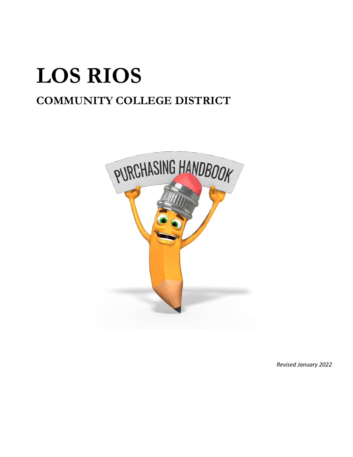# **LOS RIOS COMMUNITY COLLEGE DISTRICT**



*Revised January 2022*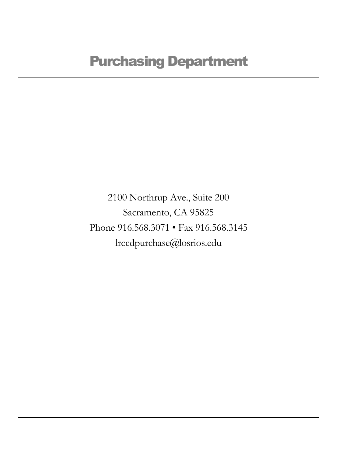2100 Northrup Ave., Suite 200 Sacramento, CA 95825 Phone 916.568.3071 • Fax 916.568.3145 lrccdpurchase@losrios.edu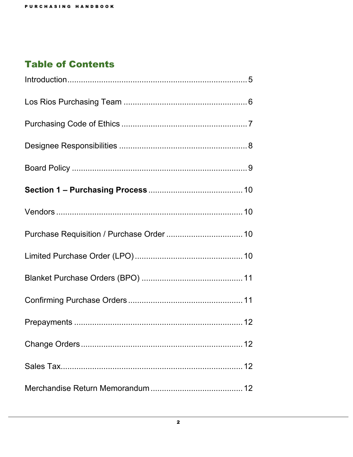## **Table of Contents**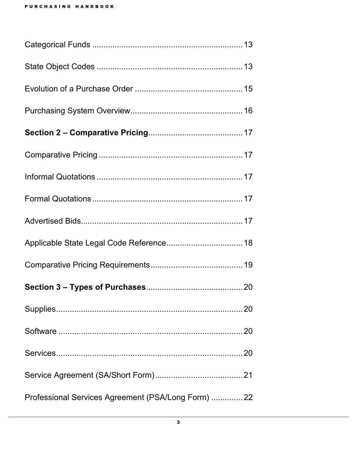| Professional Services Agreement (PSA/Long Form)  22 |  |
|-----------------------------------------------------|--|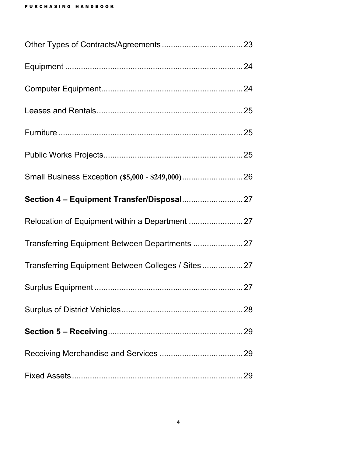| Relocation of Equipment within a Department  27     |  |
|-----------------------------------------------------|--|
| Transferring Equipment Between Departments  27      |  |
| Transferring Equipment Between Colleges / Sites  27 |  |
|                                                     |  |
|                                                     |  |
|                                                     |  |
|                                                     |  |
|                                                     |  |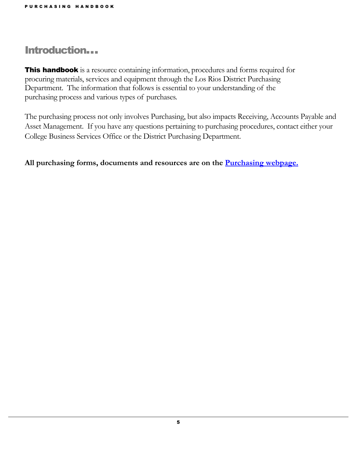### <span id="page-5-0"></span>Introduction…

This handbook is a resource containing information, procedures and forms required for procuring materials, services and equipment through the Los Rios District Purchasing Department. The information that follows is essential to your understanding of the purchasing process and various types of purchases.

The purchasing process not only involves Purchasing, but also impacts Receiving, Accounts Payable and Asset Management. If you have any questions pertaining to purchasing procedures, contact either your College Business Services Office or the District Purchasing Department.

**All purchasing forms, documents and resources are on the [Purchasing webpage.](https://employees.losrios.edu/forms-and-services/forms/purchasing-forms-and-documents)**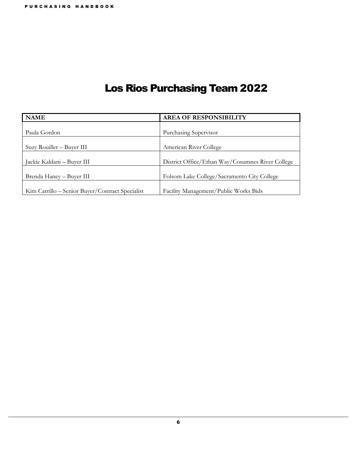## Los Rios Purchasing Team 2022

<span id="page-6-0"></span>

| <b>NAME</b>                                     | <b>AREA OF RESPONSIBILITY</b>                    |
|-------------------------------------------------|--------------------------------------------------|
|                                                 |                                                  |
| Paula Gordon                                    | Purchasing Supervisor                            |
|                                                 |                                                  |
| Suzy Rouiller - Buyer III                       | American River College                           |
|                                                 |                                                  |
| Jackie Kaldani - Buyer III                      | District Office/Ethan Way/Cosumnes River College |
|                                                 |                                                  |
| Brenda Haney - Buyer III                        | Folsom Lake College/Sacramento City College      |
|                                                 |                                                  |
| Kim Carrillo - Senior Buyer/Contract Specialist | Facility Management/Public Works Bids            |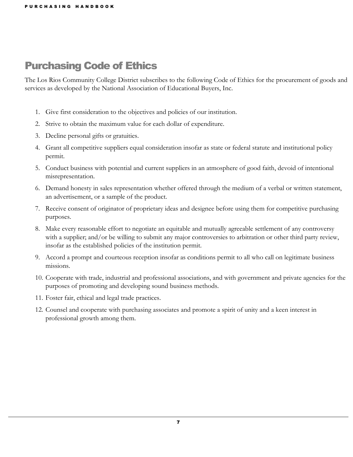## <span id="page-7-0"></span>Purchasing Code of Ethics

The Los Rios Community College District subscribes to the following Code of Ethics for the procurement of goods and services as developed by the National Association of Educational Buyers, Inc.

- 1. Give first consideration to the objectives and policies of our institution.
- 2. Strive to obtain the maximum value for each dollar of expenditure.
- 3. Decline personal gifts or gratuities.
- 4. Grant all competitive suppliers equal consideration insofar as state or federal statute and institutional policy permit.
- 5. Conduct business with potential and current suppliers in an atmosphere of good faith, devoid of intentional misrepresentation.
- 6. Demand honesty in sales representation whether offered through the medium of a verbal or written statement, an advertisement, or a sample of the product.
- 7. Receive consent of originator of proprietary ideas and designee before using them for competitive purchasing purposes.
- 8. Make every reasonable effort to negotiate an equitable and mutually agreeable settlement of any controversy with a supplier; and/or be willing to submit any major controversies to arbitration or other third party review, insofar as the established policies of the institution permit.
- 9. Accord a prompt and courteous reception insofar as conditions permit to all who call on legitimate business missions.
- 10. Cooperate with trade, industrial and professional associations, and with government and private agencies for the purposes of promoting and developing sound business methods.
- 11. Foster fair, ethical and legal trade practices.
- 12. Counsel and cooperate with purchasing associates and promote a spirit of unity and a keen interest in professional growth among them.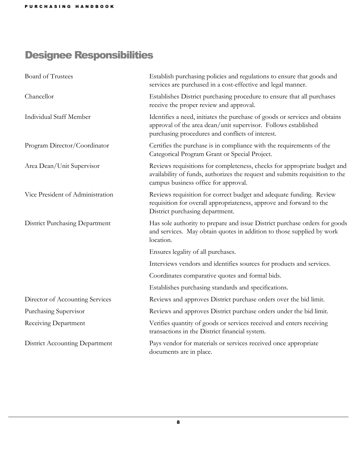## <span id="page-8-0"></span>Designee Responsibilities

| <b>Board of Trustees</b>              | Establish purchasing policies and regulations to ensure that goods and<br>services are purchased in a cost-effective and legal manner.                                                           |  |
|---------------------------------------|--------------------------------------------------------------------------------------------------------------------------------------------------------------------------------------------------|--|
| Chancellor                            | Establishes District purchasing procedure to ensure that all purchases<br>receive the proper review and approval.                                                                                |  |
| <b>Individual Staff Member</b>        | Identifies a need, initiates the purchase of goods or services and obtains<br>approval of the area dean/unit supervisor. Follows established<br>purchasing procedures and conflicts of interest. |  |
| Program Director/Coordinator          | Certifies the purchase is in compliance with the requirements of the<br>Categorical Program Grant or Special Project.                                                                            |  |
| Area Dean/Unit Supervisor             | Reviews requisitions for completeness, checks for appropriate budget and<br>availability of funds, authorizes the request and submits requisition to the<br>campus business office for approval. |  |
| Vice President of Administration      | Reviews requisition for correct budget and adequate funding. Review<br>requisition for overall appropriateness, approve and forward to the<br>District purchasing department.                    |  |
| <b>District Purchasing Department</b> | Has sole authority to prepare and issue District purchase orders for goods<br>and services. May obtain quotes in addition to those supplied by work<br>location.                                 |  |
|                                       | Ensures legality of all purchases.                                                                                                                                                               |  |
|                                       | Interviews vendors and identifies sources for products and services.                                                                                                                             |  |
|                                       | Coordinates comparative quotes and formal bids.                                                                                                                                                  |  |
|                                       | Establishes purchasing standards and specifications.                                                                                                                                             |  |
| Director of Accounting Services       | Reviews and approves District purchase orders over the bid limit.                                                                                                                                |  |
| Purchasing Supervisor                 | Reviews and approves District purchase orders under the bid limit.                                                                                                                               |  |
| Receiving Department                  | Verifies quantity of goods or services received and enters receiving<br>transactions in the District financial system.                                                                           |  |
| <b>District Accounting Department</b> | Pays vendor for materials or services received once appropriate<br>documents are in place.                                                                                                       |  |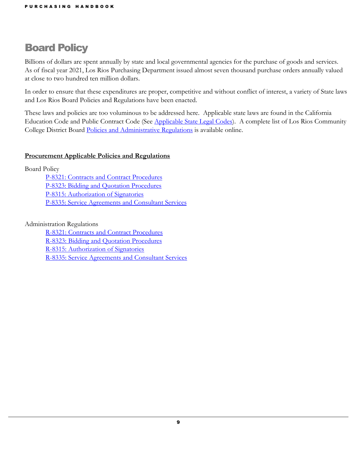## <span id="page-9-0"></span>Board Policy

Billions of dollars are spent annually by state and local governmental agencies for the purchase of goods and services. As of fiscal year 2021, Los Rios Purchasing Department issued almost seven thousand purchase orders annually valued at close to two hundred ten million dollars.

In order to ensure that these expenditures are proper, competitive and without conflict of interest, a variety of State laws and Los Rios Board Policies and Regulations have been enacted.

These laws and policies are too voluminous to be addressed here. Applicable state laws are found in the California Education Code and Public Contract Code (See [Applicable State Legal Codes\)](#page-18-0). A complete list of Los Rios Community College District Board [Policies and Administrative Regulations](https://losrios.edu/about-los-rios/board-of-trustees/policies-and-regulations) is available online.

#### **Procurement Applicable Policies and Regulations**

Board Policy

[P-8321: Contracts and Contract Procedures](https://losrios.edu/shared/doc/board/policies/P-8321.pdf) [P-8323: Bidding and Quotation Procedures](https://losrios.edu/shared/doc/board/policies/P-8323.pdf) [P-8315: Authorization of Signatories](https://losrios.edu/shared/doc/board/policies/P-8315.pdf) [P-8335: Service Agreements and Consultant Services](https://losrios.edu/shared/doc/board/policies/P-8335.pdf)

Administration Regulations

[R-8321: Contracts and Contract Procedures](https://losrios.edu/docs/lrccd/board/regulations/R-8321.pdf) [R-8323: Bidding and Quotation Procedures](https://losrios.edu/docs/lrccd/board/regulations/R-8323.pdf) [R-8315: Authorization of Signatories](https://losrios.edu/docs/lrccd/board/regulations/R-8315.pdf) [R-8335: Service Agreements and Consultant Services](https://losrios.edu/docs/lrccd/board/regulations/R-8335.pdf)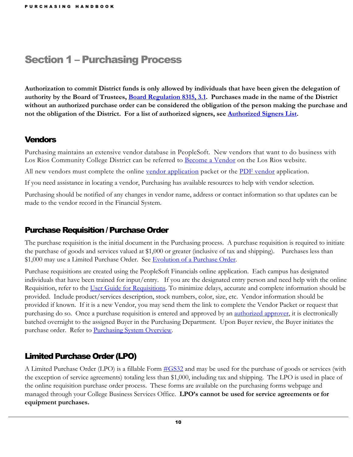## <span id="page-10-0"></span>Section 1 – Purchasing Process

**Authorization to commit District funds is only allowed by individuals that have been given the delegation of authority by the Board of Trustees, [Board Regulation 8315, 3.1.](https://losrios.edu/docs/lrccd/board/regulations/R-8315.pdf) Purchases made in the name of the District without an authorized purchase order can be considered the obligation of the person making the purchase and not the obligation of the District. For a list of authorized signers, see [Authorized Signers List.](https://employees.losrios.edu/docs/lrccd/employees/authorized-signers.pdf)**

#### <span id="page-10-1"></span>**Vendors**

Purchasing maintains an extensive vendor database in PeopleSoft. New vendors that want to do business with Los Rios Community College District can be referred to **Become a Vendor** on the Los Rios website.

All new vendors must complete the online [vendor application](https://losrios.edu/community/doing-business-with-los-rios/become-a-vendor) packet or the PDF vendor application.

If you need assistance in locating a vendor, Purchasing has available resources to help with vendor selection.

Purchasing should be notified of any changes in vendor name, address or contact information so that updates can be made to the vendor record in the Financial System.

#### <span id="page-10-2"></span>Purchase Requisition / Purchase Order

The purchase requisition is the initial document in the Purchasing process. A purchase requisition is required to initiate the purchase of goods and services valued at \$1,000 or greater (inclusive of tax and shipping). Purchases less than \$1,000 may use a Limited Purchase Order. See [Evolution of a Purchase Order.](#page-15-0)

Purchase requisitions are created using the PeopleSoft Financials online application. Each campus has designated individuals that have been trained for input/entry. If you are the designated entry person and need help with the online Requisition, refer to the [User Guide for Requisitions.](https://employees.losrios.edu/shared/doc/purchasing/requisitions-user-guide.pdf) To minimize delays, accurate and complete information should be provided. Include product/services description, stock numbers, color, size, etc. Vendor information should be provided if known. If it is a new Vendor, you may send them the link to complete the Vendor Packet or request that purchasing do so. Once a purchase requisition is entered and approved by an *authorized approver*, it is electronically batched overnight to the assigned Buyer in the Purchasing Department. Upon Buyer review, the Buyer initiates the purchase order. Refer to [Purchasing System Overview.](#page-16-1)

### <span id="page-10-3"></span>Limited Purchase Order (LPO)

A Limited Purchase Order (LPO) is a fillable Form  $\frac{\#GS32}{}$  and may be used for the purchase of goods or services (with the exception of service agreements) totaling less than \$1,000, including tax and shipping. The LPO is used in place of the online requisition purchase order process. These forms are available on the purchasing forms webpage and managed through your College Business Services Office. **LPO's cannot be used for service agreements or for equipment purchases.**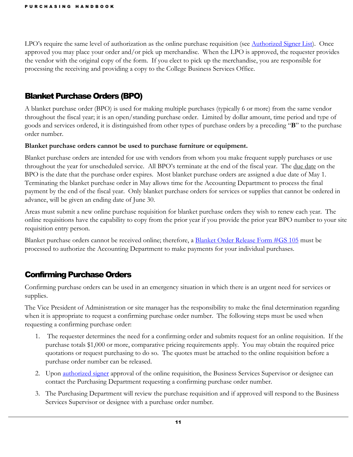LPO's require the same level of authorization as the online purchase requisition (see **Authorized Signer List**). Once approved you may place your order and/or pick up merchandise. When the LPO is approved, the requester provides the vendor with the original copy of the form. If you elect to pick up the merchandise, you are responsible for processing the receiving and providing a copy to the College Business Services Office.

### <span id="page-11-0"></span>Blanket Purchase Orders (BPO)

A blanket purchase order (BPO) is used for making multiple purchases (typically 6 or more) from the same vendor throughout the fiscal year; it is an open/standing purchase order. Limited by dollar amount, time period and type of goods and services ordered, it is distinguished from other types of purchase orders by a preceding "**B**" to the purchase order number.

#### **Blanket purchase orders cannot be used to purchase furniture or equipment.**

Blanket purchase orders are intended for use with vendors from whom you make frequent supply purchases or use throughout the year for unscheduled service. All BPO's terminate at the end of the fiscal year. The due date on the BPO is the date that the purchase order expires. Most blanket purchase orders are assigned a due date of May 1. Terminating the blanket purchase order in May allows time for the Accounting Department to process the final payment by the end of the fiscal year. Only blanket purchase orders for services or supplies that cannot be ordered in advance, will be given an ending date of June 30.

Areas must submit a new online purchase requisition for blanket purchase orders they wish to renew each year. The online requisitions have the capability to copy from the prior year if you provide the prior year BPO number to your site requisition entry person.

Blanket purchase orders cannot be received online; therefore, a [Blanket Order Release Form #GS 105](https://employees.losrios.edu/lrccd/employee/doc/gs/forms/gs-105.pdf) must be processed to authorize the Accounting Department to make payments for your individual purchases.

#### <span id="page-11-1"></span>Confirming Purchase Orders

Confirming purchase orders can be used in an emergency situation in which there is an urgent need for services or supplies.

The Vice President of Administration or site manager has the responsibility to make the final determination regarding when it is appropriate to request a confirming purchase order number. The following steps must be used when requesting a confirming purchase order:

- 1. The requester determines the need for a confirming order and submits request for an online requisition. If the purchase totals \$1,000 or more, comparative pricing requirements apply. You may obtain the required price quotations or request purchasing to do so. The quotes must be attached to the online requisition before a purchase order number can be released.
- 2. Upon [authorized signer](https://employees.losrios.edu/docs/lrccd/employees/authorized-signers.pdf) approval of the online requisition, the Business Services Supervisor or designee can contact the Purchasing Department requesting a confirming purchase order number.
- 3. The Purchasing Department will review the purchase requisition and if approved will respond to the Business Services Supervisor or designee with a purchase order number.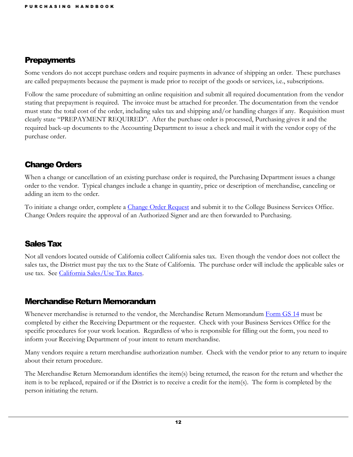#### <span id="page-12-0"></span>**Prepayments**

Some vendors do not accept purchase orders and require payments in advance of shipping an order. These purchases are called prepayments because the payment is made prior to receipt of the goods or services, i.e., subscriptions.

Follow the same procedure of submitting an online requisition and submit all required documentation from the vendor stating that prepayment is required. The invoice must be attached for preorder. The documentation from the vendor must state the total cost of the order, including sales tax and shipping and/or handling charges if any. Requisition must clearly state "PREPAYMENT REQUIRED". After the purchase order is processed, Purchasing gives it and the required back-up documents to the Accounting Department to issue a check and mail it with the vendor copy of the purchase order.

### <span id="page-12-1"></span>Change Orders

When a change or cancellation of an existing purchase order is required, the Purchasing Department issues a change order to the vendor. Typical changes include a change in quantity, price or description of merchandise, canceling or adding an item to the order.

To initiate a change order, complete a *Change Order Request* and submit it to the College Business Services Office. Change Orders require the approval of an Authorized Signer and are then forwarded to Purchasing.

### <span id="page-12-2"></span>Sales Tax

Not all vendors located outside of California collect California sales tax. Even though the vendor does not collect the sales tax, the District must pay the tax to the State of California. The purchase order will include the applicable sales or use tax. See [California Sales/Use Tax Rates.](https://employees.losrios.edu/sales-tax-rates)

#### <span id="page-12-3"></span>Merchandise Return Memorandum

Whenever merchandise is returned to the vendor, the Merchandise Return Memorandum [Form GS 14](https://employees.losrios.edu/lrccd/employee/doc/gs/forms/gs-14.pdf) must be completed by either the Receiving Department or the requester. Check with your Business Services Office for the specific procedures for your work location. Regardless of who is responsible for filling out the form, you need to inform your Receiving Department of your intent to return merchandise.

Many vendors require a return merchandise authorization number. Check with the vendor prior to any return to inquire about their return procedure.

The Merchandise Return Memorandum identifies the item(s) being returned, the reason for the return and whether the item is to be replaced, repaired or if the District is to receive a credit for the item(s). The form is completed by the person initiating the return.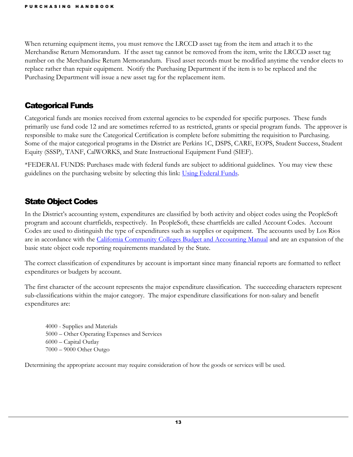When returning equipment items, you must remove the LRCCD asset tag from the item and attach it to the Merchandise Return Memorandum. If the asset tag cannot be removed from the item, write the LRCCD asset tag number on the Merchandise Return Memorandum. Fixed asset records must be modified anytime the vendor elects to replace rather than repair equipment. Notify the Purchasing Department if the item is to be replaced and the Purchasing Department will issue a new asset tag for the replacement item.

#### <span id="page-13-0"></span>Categorical Funds

Categorical funds are monies received from external agencies to be expended for specific purposes. These funds primarily use fund code 12 and are sometimes referred to as restricted, grants or special program funds. The approver is responsible to make sure the Categorical Certification is complete before submitting the requisition to Purchasing. Some of the major categorical programs in the District are Perkins 1C, DSPS, CARE, EOPS, Student Success, Student Equity (SSSP), TANF, CalWORKS, and State Instructional Equipment Fund (SIEF).

\*FEDERAL FUNDS: Purchases made with federal funds are subject to additional guidelines. You may view these guidelines on the purchasing website by selecting this link: [Using Federal Funds.](https://employees.losrios.edu/lrccd/employee/doc/purchasing/requirements-federal-funds.pdf)

### <span id="page-13-1"></span>State Object Codes

In the District's accounting system, expenditures are classified by both activity and object codes using the PeopleSoft program and account chartfields, respectively. In PeopleSoft, these chartfields are called Account Codes. Account Codes are used to distinguish the type of expenditures such as supplies or equipment. The accounts used by Los Rios are in accordance with the [California Community Colleges Budget and Accounting Manual](https://www.cccco.edu/-/media/CCCCO-Website/Files/Finance-and-Facilities/budget-and-accounting-manual-2012-edition-ada.ashx?la=en&hash=8D0B20749805F8DFEA3C3AFD2FDF0096A5361EB2) and are an expansion of the basic state object code reporting requirements mandated by the State.

The correct classification of expenditures by account is important since many financial reports are formatted to reflect expenditures or budgets by account.

The first character of the account represents the major expenditure classification. The succeeding characters represent sub-classifications within the major category. The major expenditure classifications for non-salary and benefit expenditures are:

4000 - Supplies and Materials 5000 – Other Operating Expenses and Services 6000 – Capital Outlay 7000 – 9000 Other Outgo

Determining the appropriate account may require consideration of how the goods or services will be used.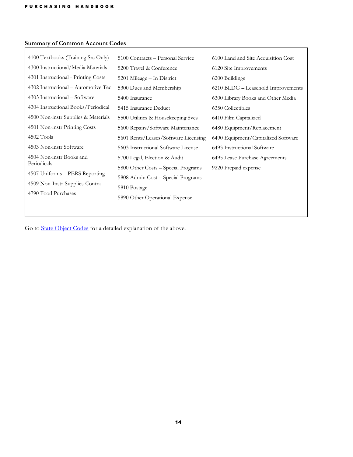## **Summary of Common Account Codes**

| 4100 Textbooks (Training Src Only)  | 5100 Contracts – Personal Service    | 6100 Land and Site Acquisition Cost |
|-------------------------------------|--------------------------------------|-------------------------------------|
| 4300 Instructional/Media Materials  | 5200 Travel & Conference             | 6120 Site Improvements              |
| 4301 Instructional - Printing Costs | 5201 Mileage - In District           | 6200 Buildings                      |
| 4302 Instructional – Automotive Tec | 5300 Dues and Membership             | 6210 BLDG - Leasehold Improvements  |
| 4303 Instructional - Software       | 5400 Insurance                       | 6300 Library Books and Other Media  |
| 4304 Instructional Books/Periodical | 5415 Insurance Deduct                | 6350 Collectibles                   |
| 4500 Non-instr Supplies & Materials | 5500 Utilities & Housekeeping Svcs   | 6410 Film Capitalized               |
| 4501 Non-instr Printing Costs       | 5600 Repairs/Software Maintenance    | 6480 Equipment/Replacement          |
| 4502 Tools                          | 5601 Rents/Leases/Software Licensing | 6490 Equipment/Capitalized Software |
| 4503 Non-instr Software             | 5603 Instructional Software License  | 6493 Instructional Software         |
| 4504 Non-instr Books and            | 5700 Legal, Election & Audit         | 6495 Lease Purchase Agreements      |
| Periodicals                         | 5800 Other Costs – Special Programs  | 9220 Prepaid expense                |
| 4507 Uniforms – PERS Reporting      | 5808 Admin Cost - Special Programs   |                                     |
| 4509 Non-Instr-Supplies-Contra      | 5810 Postage                         |                                     |
| 4790 Food Purchases                 | 5890 Other Operational Expense       |                                     |
|                                     |                                      |                                     |
|                                     |                                      |                                     |

Go to **State Object Codes** for a detailed explanation of the above.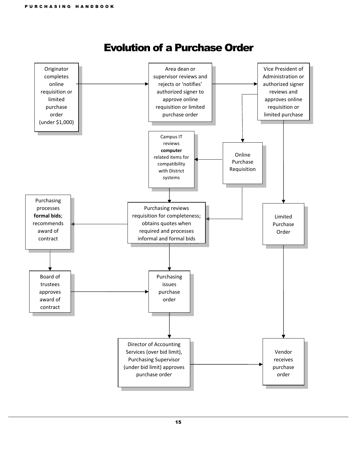<span id="page-15-0"></span>

### Evolution of a Purchase Order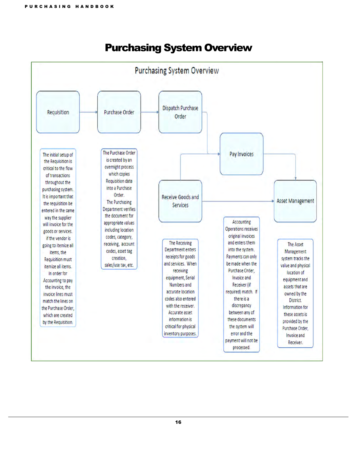<span id="page-16-1"></span><span id="page-16-0"></span>

### Purchasing System Overview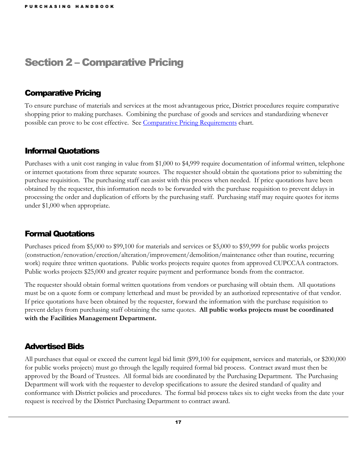## <span id="page-17-0"></span>Section 2 – Comparative Pricing

#### <span id="page-17-1"></span>Comparative Pricing

To ensure purchase of materials and services at the most advantageous price, District procedures require comparative shopping prior to making purchases. Combining the purchase of goods and services and standardizing whenever possible can prove to be cost effective. See [Comparative Pricing Requirements](#page-19-0) chart.

#### <span id="page-17-2"></span>Informal Quotations

Purchases with a unit cost ranging in value from \$1,000 to \$4,999 require documentation of informal written, telephone or internet quotations from three separate sources. The requester should obtain the quotations prior to submitting the purchase requisition. The purchasing staff can assist with this process when needed. If price quotations have been obtained by the requester, this information needs to be forwarded with the purchase requisition to prevent delays in processing the order and duplication of efforts by the purchasing staff. Purchasing staff may require quotes for items under \$1,000 when appropriate.

#### <span id="page-17-3"></span>Formal Quotations

Purchases priced from \$5,000 to \$99,100 for materials and services or \$5,000 to \$59,999 for public works projects (construction/renovation/erection/alteration/improvement/demolition/maintenance other than routine, recurring work) require three written quotations. Public works projects require quotes from approved CUPCCAA contractors. Public works projects \$25,000 and greater require payment and performance bonds from the contractor.

The requester should obtain formal written quotations from vendors or purchasing will obtain them. All quotations must be on a quote form or company letterhead and must be provided by an authorized representative of that vendor. If price quotations have been obtained by the requester, forward the information with the purchase requisition to prevent delays from purchasing staff obtaining the same quotes. **All public works projects must be coordinated with the Facilities Management Department.**

#### <span id="page-17-4"></span>Advertised Bids

All purchases that equal or exceed the current legal bid limit (\$99,100 for equipment, services and materials, or \$200,000 for public works projects) must go through the legally required formal bid process. Contract award must then be approved by the Board of Trustees. All formal bids are coordinated by the Purchasing Department. The Purchasing Department will work with the requester to develop specifications to assure the desired standard of quality and conformance with District policies and procedures. The formal bid process takes six to eight weeks from the date your request is received by the District Purchasing Department to contract award.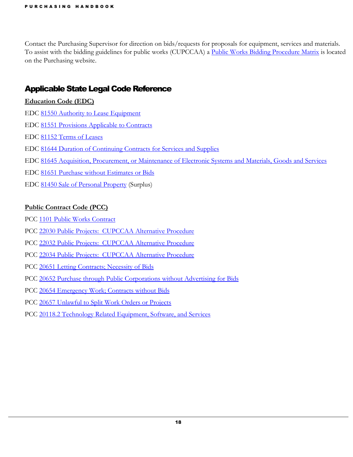Contact the Purchasing Supervisor for direction on bids/requests for proposals for equipment, services and materials. To assist with the bidding guidelines for public works (CUPCCAA) a [Public Works Bidding Procedure Matrix](https://employees.losrios.edu/lrccd/employee/doc/purchasing/bid-matrix.pdf) is located on the Purchasing website.

#### <span id="page-18-0"></span>Applicable State Legal Code Reference

- **Education Code (EDC)**
- EDC [81550 Authority to Lease Equipment](https://leginfo.legislature.ca.gov/faces/codes_displaySection.xhtml?sectionNum=81550.&lawCode=EDC)
- EDC [81551 Provisions Applicable to Contracts](https://leginfo.legislature.ca.gov/faces/codes_displaySection.xhtml?sectionNum=81551.&lawCode=EDC)
- EDC [81152 Terms of Leases](https://leginfo.legislature.ca.gov/faces/codes_displaySection.xhtml?sectionNum=81552.&lawCode=EDC)
- EDC [81644 Duration of Continuing Contracts for Services and Supplies](https://leginfo.legislature.ca.gov/faces/codes_displaySection.xhtml?sectionNum=81644.&lawCode=EDC)
- EDC [81645 Acquisition, Procurement, or Maintenance of Electronic Systems and Materials, Goods and Services](https://leginfo.legislature.ca.gov/faces/codes_displaySection.xhtml?sectionNum=81645.&lawCode=EDC)
- EDC [81651 Purchase without Estimates or Bids](https://leginfo.legislature.ca.gov/faces/codes_displaySection.xhtml?sectionNum=81651.&lawCode=EDC)
- EDC [81450 Sale of Personal Property](https://leginfo.legislature.ca.gov/faces/codes_displaySection.xhtml?sectionNum=81450.&lawCode=EDC) (Surplus)

#### **Public Contract Code (PCC)**

- PCC [1101 Public Works Contract](https://leginfo.legislature.ca.gov/faces/codes_displaySection.xhtml?sectionNum=1101.&lawCode=PCC)
- PCC [22030 Public Projects: CUPCCAA Alternative Procedure](https://leginfo.legislature.ca.gov/faces/codes_displaySection.xhtml?sectionNum=22030.&lawCode=PCC)
- PCC [22032 Public Projects: CUPCCAA Alternative Procedure](https://leginfo.legislature.ca.gov/faces/codes_displaySection.xhtml?sectionNum=22032.&lawCode=PCC)
- PCC [22034 Public Projects: CUPCCAA Alternative Procedure](https://leginfo.legislature.ca.gov/faces/codes_displaySection.xhtml?sectionNum=22034.&lawCode=PCC)
- PCC [20651 Letting Contracts; Necessity of Bids](https://leginfo.legislature.ca.gov/faces/codes_displaySection.xhtml?sectionNum=20651.&lawCode=PCC)
- PCC [20652 Purchase through Public Corporations without Advertising for Bids](https://leginfo.legislature.ca.gov/faces/codes_displaySection.xhtml?sectionNum=20652.&lawCode=PCC)
- PCC [20654 Emergency Work; Contracts without Bids](https://leginfo.legislature.ca.gov/faces/codes_displaySection.xhtml?sectionNum=20654.&lawCode=PCC)
- PCC [20657 Unlawful to Split Work Orders or Projects](https://leginfo.legislature.ca.gov/faces/codes_displaySection.xhtml?sectionNum=20657.&lawCode=PCC)
- PCC [20118.2 Technology Related Equipment, Software, and Services](https://leginfo.legislature.ca.gov/faces/codes_displaySection.xhtml?sectionNum=20118.2.&lawCode=PCC)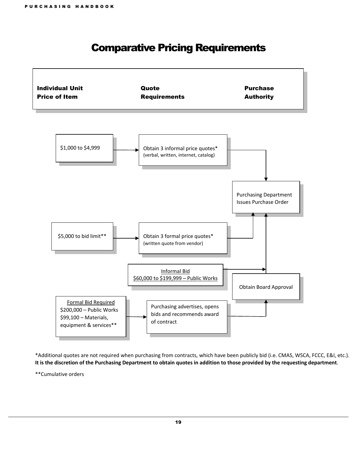## Comparative Pricing Requirements

<span id="page-19-0"></span>

\*Additional quotes are not required when purchasing from contracts, which have been publicly bid (i.e. CMAS, WSCA, FCCC, E&I, etc.). **It is the discretion of the Purchasing Department to obtain quotes in addition to those provided by the requesting department**.

\*\*Cumulative orders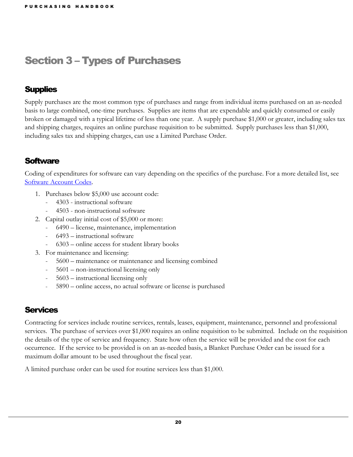## <span id="page-20-0"></span>Section 3 – Types of Purchases

#### <span id="page-20-1"></span>**Supplies**

Supply purchases are the most common type of purchases and range from individual items purchased on an as-needed basis to large combined, one-time purchases. Supplies are items that are expendable and quickly consumed or easily broken or damaged with a typical lifetime of less than one year. A supply purchase \$1,000 or greater, including sales tax and shipping charges, requires an online purchase requisition to be submitted. Supply purchases less than \$1,000, including sales tax and shipping charges, can use a Limited Purchase Order.

### <span id="page-20-2"></span>**Software**

Coding of expenditures for software can vary depending on the specifics of the purchase. For a more detailed list, see [Software Account Codes.](https://employees.losrios.edu/lrccd/employee/doc/purchasing/software-account-codes.pdf)

- 1. Purchases below \$5,000 use account code:
	- 4303 instructional software
	- 4503 non-instructional software
- 2. Capital outlay initial cost of \$5,000 or more:
	- 6490 license, maintenance, implementation
	- 6493 instructional software
	- 6303 online access for student library books
- 3. For maintenance and licensing:
	- 5600 maintenance or maintenance and licensing combined
	- 5601 non-instructional licensing only
	- 5603 instructional licensing only
	- 5890 online access, no actual software or license is purchased

#### <span id="page-20-3"></span>**Services**

Contracting for services include routine services, rentals, leases, equipment, maintenance, personnel and professional services. The purchase of services over \$1,000 requires an online requisition to be submitted. Include on the requisition the details of the type of service and frequency. State how often the service will be provided and the cost for each occurrence. If the service to be provided is on an as-needed basis, a Blanket Purchase Order can be issued for a maximum dollar amount to be used throughout the fiscal year.

A limited purchase order can be used for routine services less than \$1,000.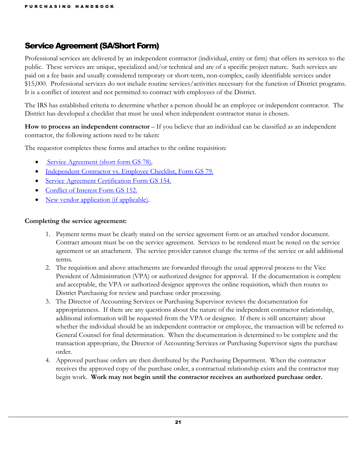### <span id="page-21-0"></span>Service Agreement (SA/Short Form)

Professional services are delivered by an independent contractor (individual, entity or firm) that offers its services to the public. These services are unique, specialized and/or technical and are of a specific project nature. Such services are paid on a fee basis and usually considered temporary or short-term, non-complex, easily identifiable services under \$15,000. Professional services do not include routine services/activities necessary for the function of District programs. It is a conflict of interest and not permitted to contract with employees of the District.

The IRS has established criteria to determine whether a person should be an employee or independent contractor. The District has developed a checklist that must be used when independent contractor status is chosen.

How to process an independent contractor – If you believe that an individual can be classified as an independent contractor, the following actions need to be taken:

The requestor completes these forms and attaches to the online requisition:

- [Service Agreement \(short form GS 78\).](https://employees.losrios.edu/shared/doc/gs/forms/gs-78.pdf)
- [Independent Contractor vs. Employee Checklist, Form GS 79.](https://employees.losrios.edu/lrccd/employee/doc/gs/forms/gs-79.pdf)
- Service Agreement Certification Form GS 154.
- Conflict of Interest Form GS 152.
- [New vendor application \(if applicable\).](https://losrios.edu/community/doing-business-with-los-rios/become-a-vendor)

#### **Completing the service agreement:**

- 1. Payment terms must be clearly stated on the service agreement form or an attached vendor document. Contract amount must be on the service agreement. Services to be rendered must be noted on the service agreement or an attachment. The service provider cannot change the terms of the service or add additional terms.
- 2. The requisition and above attachments are forwarded through the usual approval process to the Vice President of Administration (VPA) or authorized designee for approval. If the documentation is complete and acceptable, the VPA or authorized designee approves the online requisition, which then routes to District Purchasing for review and purchase order processing.
- 3. The Director of Accounting Services or Purchasing Supervisor reviews the documentation for appropriateness. If there are any questions about the nature of the independent contractor relationship, additional information will be requested from the VPA or designee. If there is still uncertainty about whether the individual should be an independent contractor or employee, the transaction will be referred to General Counsel for final determination. When the documentation is determined to be complete and the transaction appropriate, the Director of Accounting Services or Purchasing Supervisor signs the purchase order.
- 4. Approved purchase orders are then distributed by the Purchasing Department. When the contractor receives the approved copy of the purchase order, a contractual relationship exists and the contractor may begin work. **Work may not begin until the contractor receives an authorized purchase order.**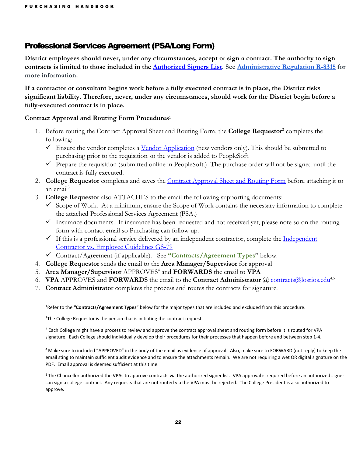#### <span id="page-22-0"></span>Professional Services Agreement (PSA/Long Form)

**District employees should never, under any circumstances, accept or sign a contract. The authority to sign contracts is limited to those included in the [Authorized Signers List.](https://employees.losrios.edu/lrccd/employee/doc/bs/authorized-signers.pdf) See [Administrative Regulation R-8315](https://losrios.edu/docs/lrccd/board/regulations/R-8315.pdf) for more information.**

**If a contractor or consultant begins work before a fully executed contract is in place, the District risks significant liability. Therefore, never, under any circumstances, should work for the District begin before a fully-executed contract is in place.**

#### **Contract Approval and Routing Form Procedures**<sup>1</sup>

- 1. Before routing the [Contract Approval Sheet and Routing Form,](https://employees.losrios.edu/lrccd/employee/doc/gs/forms/gs-113.pdf) the **College Requestor**<sup>2</sup> completes the following:
	- Ensure the vendor completes a [Vendor Application](https://losrios.edu/lrccd/main/doc/purchasing/vendor-packet-non-contractor.pdf) (new vendors only). This should be submitted to purchasing prior to the requisition so the vendor is added to PeopleSoft.
	- $\checkmark$  Prepare the requisition (submitted online in PeopleSoft.) The purchase order will not be signed until the contract is fully executed.
- 2. **College Requestor** completes and saves the [Contract Approval Sheet and Routing Form](https://employees.losrios.edu/lrccd/employee/doc/gs/forms/gs-113.pdf) before attaching it to an email<sup>3</sup>
- 3. **College Requestor** also ATTACHES to the email the following supporting documents:
	- $\checkmark$  Scope of Work. At a minimum, ensure the Scope of Work contains the necessary information to complete the attached Professional Services Agreement (PSA.)
	- $\checkmark$  Insurance documents. If insurance has been requested and not received yet, please note so on the routing form with contact email so Purchasing can follow up.
	- $\checkmark$  If this is a professional service delivered by an independent contractor, complete the Independent [Contractor vs. Employee Guidelines GS-79](https://employees.losrios.edu/lrccd/employee/doc/gs/forms/gs-79.pdf)
	- Contract/Agreement (if applicable). See **"Contracts/Agreement Types**" below.
- 4. **College Requestor** sends the email to the **Area Manager/Supervisor** for approval
- 5. Area Manager/Supervisor APPROVES<sup>4</sup> and **FORWARDS** the email to VPA
- 6. **VPA** APPROVES and **FORWARDS** the email to the **Contract Administrator** @ contracts@losrios.edu<sup>4,5</sup>
- 7. **Contract Administrator** completes the process and routes the contracts for signature.

1Refer to the **"Contracts/Agreement Types**" below for the major types that are included and excluded from this procedure.

<sup>2</sup>The College Requestor is the person that is initiating the contract request.

<sup>3</sup> Each College might have a process to review and approve the contract approval sheet and routing form before it is routed for VPA signature. Each College should individually develop their procedures for their processes that happen before and between step 1-4.

4 Make sure to included "APPROVED" in the body of the email as evidence of approval. Also, make sure to FORWARD (not reply) to keep the email sting to maintain sufficient audit evidence and to ensure the attachments remain. We are not requiring a wet OR digital signature on the PDF. Email approval is deemed sufficient at this time.

5 The Chancellor authorized the VPAs to approve contracts via the authorized signer list. VPA approval is required before an authorized signer can sign a college contract. Any requests that are not routed via the VPA must be rejected. The College President is also authorized to approve.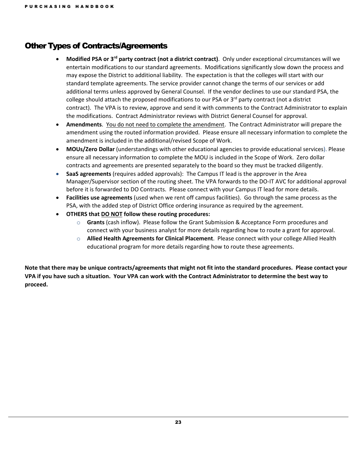#### <span id="page-23-0"></span>Other Types of Contracts/Agreements

- **Modified PSA or 3rd party contract (not a district contract)**. Only under exceptional circumstances will we entertain modifications to our standard agreements. Modifications significantly slow down the process and may expose the District to additional liability. The expectation is that the colleges will start with our standard template agreements. The service provider cannot change the terms of our services or add additional terms unless approved by General Counsel. If the vendor declines to use our standard PSA, the college should attach the proposed modifications to our PSA or 3<sup>rd</sup> party contract (not a district contract). The VPA is to review, approve and send it with comments to the Contract Administrator to explain the modifications. Contract Administrator reviews with District General Counsel for approval.
- **Amendments**. You do not need to complete the amendment. The Contract Administrator will prepare the amendment using the routed information provided. Please ensure all necessary information to complete the amendment is included in the additional/revised Scope of Work.
- **MOUs/Zero Dollar** (understandings with other educational agencies to provide educational services). Please ensure all necessary information to complete the MOU is included in the Scope of Work. Zero dollar contracts and agreements are presented separately to the board so they must be tracked diligently.
- **SaaS agreements** (requires added approvals): The Campus IT lead is the approver in the Area Manager/Supervisor section of the routing sheet. The VPA forwards to the DO-IT AVC for additional approval before it is forwarded to DO Contracts. Please connect with your Campus IT lead for more details.
- **[Facilities use agreements](https://employees.losrios.edu/lrccd/employee/doc/gs/forms/gs-121.pdf)** (used when we rent off campus facilities). Go through the same process as the PSA, with the added step of District Office ordering insurance as required by the agreement.
- **OTHERS that DO NOT follow these routing procedures:** 
	- o **Grants** (cash inflow). Please follow the Grant Submission & Acceptance Form procedures and connect with your business analyst for more details regarding how to route a grant for approval.
	- o **Allied Health Agreements for Clinical Placement**. Please connect with your college Allied Health educational program for more details regarding how to route these agreements.

**Note that there may be unique contracts/agreements that might not fit into the standard procedures. Please contact your VPA if you have such a situation. Your VPA can work with the Contract Administrator to determine the best way to proceed.**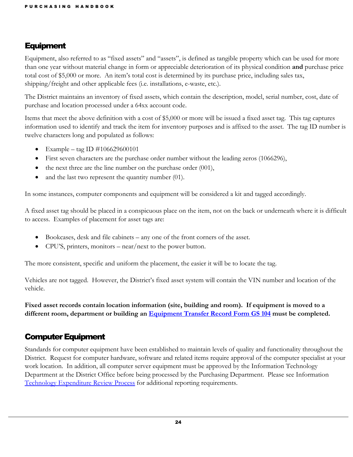#### <span id="page-24-0"></span>**Equipment**

Equipment, also referred to as "fixed assets" and "assets", is defined as tangible property which can be used for more than one year without material change in form or appreciable deterioration of its physical condition **and** purchase price total cost of \$5,000 or more. An item's total cost is determined by its purchase price, including sales tax, shipping/freight and other applicable fees (i.e. installations, e-waste, etc.).

The District maintains an inventory of fixed assets, which contain the description, model, serial number, cost, date of purchase and location processed under a 64xx account code.

Items that meet the above definition with a cost of \$5,000 or more will be issued a fixed asset tag. This tag captures information used to identify and track the item for inventory purposes and is affixed to the asset. The tag ID number is twelve characters long and populated as follows:

- Example tag ID  $\#106629600101$
- First seven characters are the purchase order number without the leading zeros (1066296),
- the next three are the line number on the purchase order (001),
- and the last two represent the quantity number (01).

In some instances, computer components and equipment will be considered a kit and tagged accordingly.

A fixed asset tag should be placed in a conspicuous place on the item, not on the back or underneath where it is difficult to access. Examples of placement for asset tags are:

- Bookcases, desk and file cabinets any one of the front corners of the asset.
- CPU'S, printers, monitors near/next to the power button.

The more consistent, specific and uniform the placement, the easier it will be to locate the tag.

Vehicles are not tagged. However, the District's fixed asset system will contain the VIN number and location of the vehicle.

**Fixed asset records contain location information (site, building and room). If equipment is moved to a different room, department or building an [Equipment Transfer Record Form GS 104](https://employees.losrios.edu/lrccd/employee/doc/gs/forms/gs-104.pdf) must be completed.**

#### <span id="page-24-1"></span>Computer Equipment

Standards for computer equipment have been established to maintain levels of quality and functionality throughout the District. Request for computer hardware, software and related items require approval of the computer specialist at your work location. In addition, all computer server equipment must be approved by the Information Technology Department at the District Office before being processed by the Purchasing Department. Please see Information [Technology Expenditure Review Process](https://employees.losrios.edu/lrccd/employee/doc/purchasing/it-expenditure-review-process.pdf) for additional reporting requirements.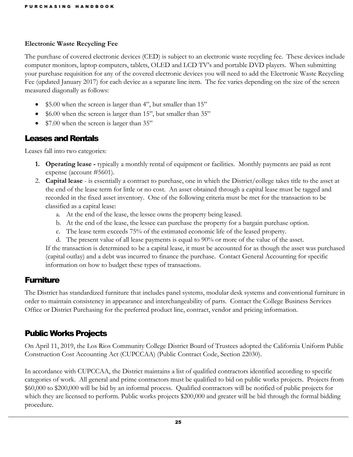#### **Electronic Waste Recycling Fee**

The purchase of covered electronic devices (CED) is subject to an electronic waste recycling fee. These devices include computer monitors, laptop computers, tablets, OLED and LCD TV's and portable DVD players. When submitting your purchase requisition for any of the covered electronic devices you will need to add the Electronic Waste Recycling Fee (updated January 2017) for each device as a separate line item. The fee varies depending on the size of the screen measured diagonally as follows:

- \$5.00 when the screen is larger than 4", but smaller than 15"
- \$6.00 when the screen is larger than 15", but smaller than 35"
- \$7.00 when the screen is larger than 35"

#### <span id="page-25-0"></span>Leases and Rentals

Leases fall into two categories:

- **1. Operating lease** typically a monthly rental of equipment or facilities. Monthly payments are paid as rent expense (account #5601).
- 2. **Capital lease** is essentially a contract to purchase, one in which the District/college takes title to the asset at the end of the lease term for little or no cost. An asset obtained through a capital lease must be tagged and recorded in the fixed asset inventory. One of the following criteria must be met for the transaction to be classified as a capital lease:
	- a. At the end of the lease, the lessee owns the property being leased.
	- b. At the end of the lease, the lessee can purchase the property for a bargain purchase option.
	- c. The lease term exceeds 75% of the estimated economic life of the leased property.
	- d. The present value of all lease payments is equal to 90% or more of the value of the asset.

If the transaction is determined to be a capital lease, it must be accounted for as though the asset was purchased (capital outlay) and a debt was incurred to finance the purchase. Contact General Accounting for specific information on how to budget these types of transactions.

#### <span id="page-25-1"></span>**Furniture**

The District has standardized furniture that includes panel systems, modular desk systems and conventional furniture in order to maintain consistency in appearance and interchangeability of parts. Contact the College Business Services Office or District Purchasing for the preferred product line, contract, vendor and pricing information.

### <span id="page-25-2"></span>Public Works Projects

On April 11, 2019, the Los Rios Community College District Board of Trustees adopted the California Uniform Public Construction Cost Accounting Act (CUPCCAA) (Public Contract Code, Section 22030).

In accordance with CUPCCAA, the District maintains a list of qualified contractors identified according to specific categories of work. All general and prime contractors must be qualified to bid on public works projects. Projects from \$60,000 to \$200,000 will be bid by an informal process. Qualified contractors will be notified of public projects for which they are licensed to perform. Public works projects \$200,000 and greater will be bid through the formal bidding procedure.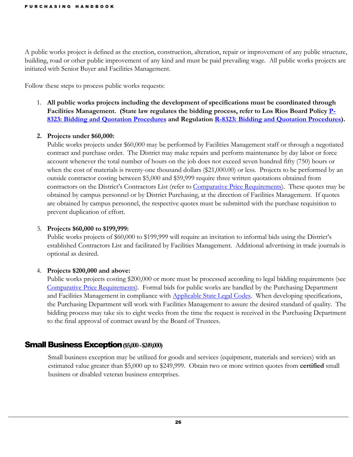A public works project is defined as the erection, construction, alteration, repair or improvement of any public structure, building, road or other public improvement of any kind and must be paid prevailing wage. All public works projects are initiated with Senior Buyer and Facilities Management.

Follow these steps to process public works requests:

1. **All public works projects including the development of specifications must be coordinated through Facilities Management. (State law regulates the bidding process, refer to Los Rios Board Policy [P-](https://losrios.edu/docs/lrccd/board/policies/P-8323.pdf)[8323: Bidding and Quotation Procedures](https://losrios.edu/docs/lrccd/board/policies/P-8323.pdf) and Regulation [R-8323: Bidding and Quotation Procedures\)](https://losrios.edu/docs/lrccd/board/regulations/R-8323.pdf).**

#### **2. Projects under \$60,000:**

Public works projects under \$60,000 may be performed by Facilities Management staff or through a negotiated contract and purchase order. The District may make repairs and perform maintenance by day labor or force account whenever the total number of hours on the job does not exceed seven hundred fifty (750) hours or when the cost of materials is twenty-one thousand dollars (\$21,000.00) or less. Projects to be performed by an outside contractor costing between \$5,000 and \$59,999 require three written quotations obtained from contractors on the District's Contractors List (refer to [Comparative Price Requirements\)](#page-19-0). These quotes may be obtained by campus personnel or by District Purchasing, at the direction of Facilities Management. If quotes are obtained by campus personnel, the respective quotes must be submitted with the purchase requisition to prevent duplication of effort.

#### 3. **Projects \$60,000 to \$199,999:**

Public works projects of \$60,000 to \$199,999 will require an invitation to informal bids using the District's established Contractors List and facilitated by Facilities Management. Additional advertising in trade journals is optional as desired.

#### 4. **Projects \$200,000 and above:**

Public works projects costing \$200,000 or more must be processed according to legal bidding requirements (see [Comparative Price](#page-19-0) Requirements). Formal bids for public works are handled by the Purchasing Department and Facilities Management in compliance with **Applicable State Legal Codes**. When developing specifications, the Purchasing Department will work with Facilities Management to assure the desired standard of quality. The bidding process may take six to eight weeks from the time the request is received in the Purchasing Department to the final approval of contract award by the Board of Trustees.

#### <span id="page-26-0"></span>**Small Business Exception (\$5,000 - \$249,000)**

Small business exception may be utilized for goods and services (equipment, materials and services) with an estimated value greater than \$5,000 up to \$249,999. Obtain two or more written quotes from **certified** small business or disabled veteran business enterprises.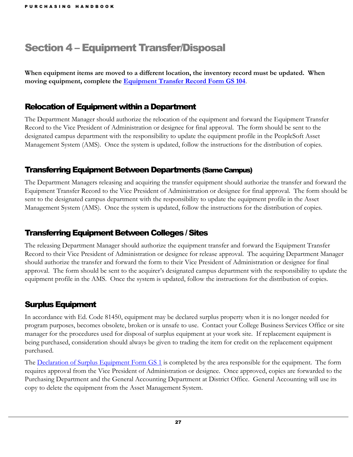## <span id="page-27-0"></span>Section 4 – Equipment Transfer/Disposal

**When equipment items are moved to a different location, the inventory record must be updated. When moving equipment, complete the [Equipment Transfer Record](https://employees.losrios.edu/lrccd/employee/doc/gs/forms/gs-104.pdf) Form GS 104**.

### <span id="page-27-1"></span>**Relocation of Equipment within a Department**

The Department Manager should authorize the relocation of the equipment and forward the Equipment Transfer Record to the Vice President of Administration or designee for final approval. The form should be sent to the designated campus department with the responsibility to update the equipment profile in the PeopleSoft Asset Management System (AMS). Once the system is updated, follow the instructions for the distribution of copies.

### <span id="page-27-2"></span>Transferring Equipment Between Departments (Same Campus)

The Department Managers releasing and acquiring the transfer equipment should authorize the transfer and forward the Equipment Transfer Record to the Vice President of Administration or designee for final approval. The form should be sent to the designated campus department with the responsibility to update the equipment profile in the Asset Management System (AMS). Once the system is updated, follow the instructions for the distribution of copies.

### <span id="page-27-3"></span>Transferring Equipment Between Colleges / Sites

The releasing Department Manager should authorize the equipment transfer and forward the Equipment Transfer Record to their Vice President of Administration or designee for release approval. The acquiring Department Manager should authorize the transfer and forward the form to their Vice President of Administration or designee for final approval. The form should be sent to the acquirer's designated campus department with the responsibility to update the equipment profile in the AMS. Once the system is updated, follow the instructions for the distribution of copies.

### <span id="page-27-4"></span>Surplus Equipment

In accordance with Ed. Code 81450, equipment may be declared surplus property when it is no longer needed for program purposes, becomes obsolete, broken or is unsafe to use. Contact your College Business Services Office or site manager for the procedures used for disposal of surplus equipment at your work site. If replacement equipment is being purchased, consideration should always be given to trading the item for credit on the replacement equipment purchased.

The Declaration of Surplus [Equipment Form GS 1](https://employees.losrios.edu/lrccd/employee/doc/gs/forms/gs-1.pdf) is completed by the area responsible for the equipment. The form requires approval from the Vice President of Administration or designee. Once approved, copies are forwarded to the Purchasing Department and the General Accounting Department at District Office. General Accounting will use its copy to delete the equipment from the Asset Management System.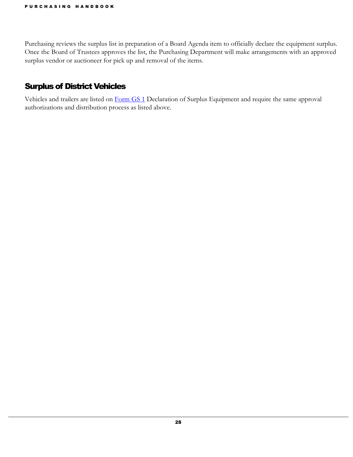Purchasing reviews the surplus list in preparation of a Board Agenda item to officially declare the equipment surplus. Once the Board of Trustees approves the list, the Purchasing Department will make arrangements with an approved surplus vendor or auctioneer for pick up and removal of the items.

### <span id="page-28-0"></span>Surplus of District Vehicles

Vehicles and trailers are listed on [Form GS 1](https://employees.losrios.edu/lrccd/employee/doc/gs/forms/gs-1.pdf) Declaration of Surplus Equipment and require the same approval authorizations and distribution process as listed above.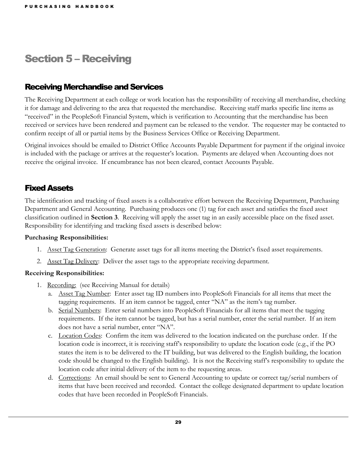## <span id="page-29-0"></span>Section 5 – Receiving

#### <span id="page-29-1"></span>**Receiving Merchandise and Services**

The Receiving Department at each college or work location has the responsibility of receiving all merchandise, checking it for damage and delivering to the area that requested the merchandise. Receiving staff marks specific line items as "received" in the PeopleSoft Financial System, which is verification to Accounting that the merchandise has been received or services have been rendered and payment can be released to the vendor. The requester may be contacted to confirm receipt of all or partial items by the Business Services Office or Receiving Department.

Original invoices should be emailed to District Office Accounts Payable Department for payment if the original invoice is included with the package or arrives at the requester's location. Payments are delayed when Accounting does not receive the original invoice. If encumbrance has not been cleared, contact Accounts Payable.

### <span id="page-29-2"></span>Fixed Assets

The identification and tracking of fixed assets is a collaborative effort between the Receiving Department, Purchasing Department and General Accounting. Purchasing produces one (1) tag for each asset and satisfies the fixed asset classification outlined in **Section 3**. Receiving will apply the asset tag in an easily accessible place on the fixed asset. Responsibility for identifying and tracking fixed assets is described below:

#### **Purchasing Responsibilities:**

- 1. Asset Tag Generation: Generate asset tags for all items meeting the District's fixed asset requirements.
- 2. Asset Tag Delivery: Deliver the asset tags to the appropriate receiving department.

#### **Receiving Responsibilities:**

- 1. Recording: (see Receiving Manual for details)
	- a. Asset Tag Number: Enter asset tag ID numbers into PeopleSoft Financials for all items that meet the tagging requirements. If an item cannot be tagged, enter "NA" as the item's tag number.
	- b. Serial Numbers: Enter serial numbers into PeopleSoft Financials for all items that meet the tagging requirements. If the item cannot be tagged, but has a serial number, enter the serial number. If an item does not have a serial number, enter "NA".
	- c. Location Codes: Confirm the item was delivered to the location indicated on the purchase order. If the location code is incorrect, it is receiving staff's responsibility to update the location code (e.g., if the PO states the item is to be delivered to the IT building, but was delivered to the English building, the location code should be changed to the English building). It is not the Receiving staff's responsibility to update the location code after initial delivery of the item to the requesting areas.
	- d. Corrections: An email should be sent to General Accounting to update or correct tag/serial numbers of items that have been received and recorded. Contact the college designated department to update location codes that have been recorded in PeopleSoft Financials.